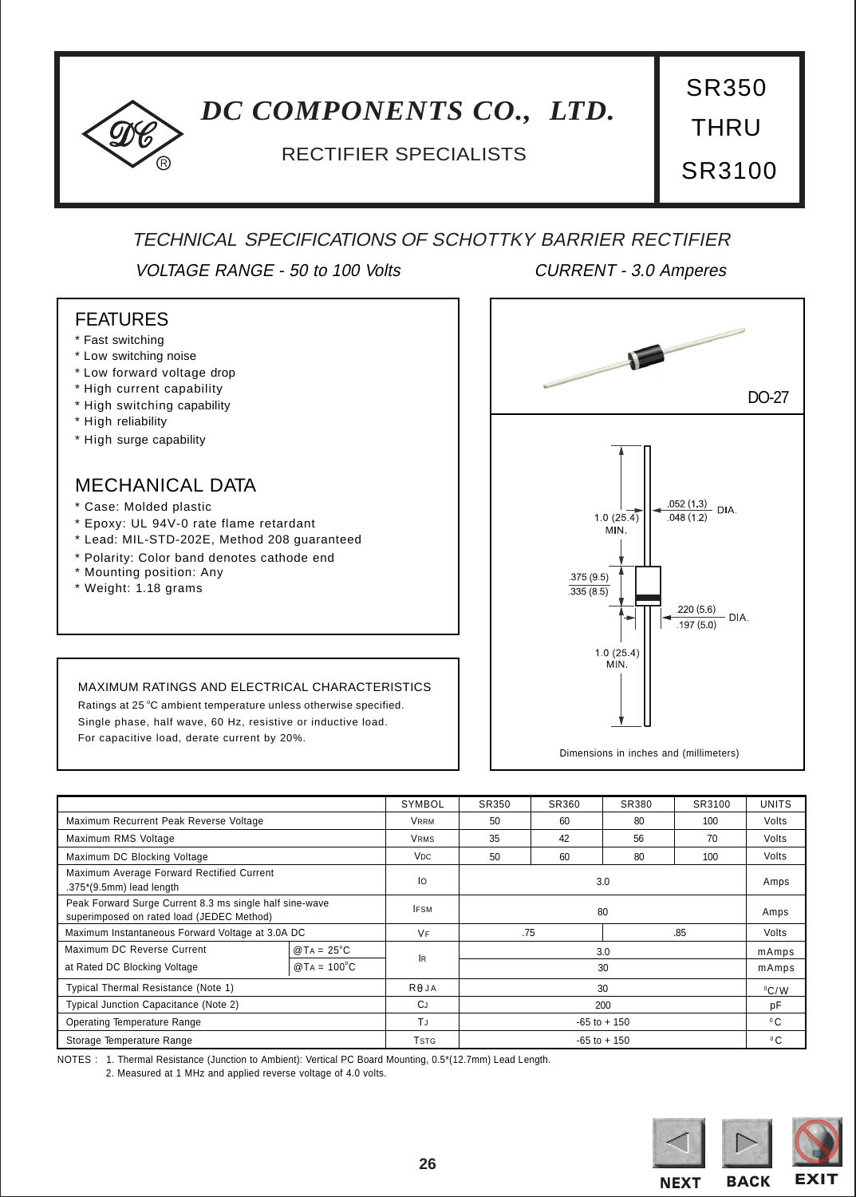## <span id="page-0-0"></span>*DC COMPONENTS CO., LTD.*

### <sup>R</sup> RECTIFIER SPECIALISTS

THRU

SR350

SR3100

## TECHNICAL SPECIFICATIONS OF SCHOTTKY BARRIER RECTIFIER

VOLTAGE RANGE - 50 to 100 Volts CURRENT - 3.0 Amperes

#### FEATURES

- \* Fast switching
- \* Low switching noise
- \* Low forward voltage drop
- \* High current capability
- \* High switching capability
- \* High reliability
- \* High surge capability

### MECHANICAL DATA

- \* Case: Molded plastic
- \* Epoxy: UL 94V-0 rate flame retardant

For capacitive load, derate current by 20%.

\* Lead: MIL-STD-202E, Method 208 guaranteed

MAXIMUM RATINGS AND ELECTRICAL CHARACTERISTICS Ratings at 25 °C ambient temperature unless otherwise specified. Single phase, half wave, 60 Hz, resistive or inductive load.

- \* Polarity: Color band denotes cathode end
- \* Mounting position: Any
- \* Weight: 1.18 grams

# DO-27  $\frac{.052(1.3)}{048(1.2)}$  DIA.  $1.0(25-4)$  $048(12)$ MIN. 375 (9.5)  $335(8.5)$ 220 (5.6) - DIA.  $.197(5.0)$  $1.0(25.4)$ **MIN**

Dimensions in inches and (millimeters)

|                                                                                                      |                     | SYMBOL          | SR350           | SR360      | SR380 | SR3100         | <b>UNITS</b> |
|------------------------------------------------------------------------------------------------------|---------------------|-----------------|-----------------|------------|-------|----------------|--------------|
| Maximum Recurrent Peak Reverse Voltage                                                               |                     | <b>VRRM</b>     | 50              | 60         | 80    | 100            | Volts        |
| Maximum RMS Voltage                                                                                  |                     | <b>VRMS</b>     | 35              | 42         | 56    | 70             | Volts        |
| Maximum DC Blocking Voltage                                                                          |                     | V <sub>DC</sub> | 50              | 60         | 80    | 100            | Volts        |
| Maximum Average Forward Rectified Current<br>.375*(9.5mm) lead length                                |                     | lo              | 3.0             |            |       | Amps           |              |
| Peak Forward Surge Current 8.3 ms single half sine-wave<br>superimposed on rated load (JEDEC Method) |                     | <b>IFSM</b>     | 80              |            |       | Amps           |              |
| Maximum Instantaneous Forward Voltage at 3.0A DC                                                     |                     | VF              |                 | .75<br>.85 |       |                | Volts        |
| Maximum DC Reverse Current                                                                           | $@TA = 25^{\circ}C$ | <b>IR</b>       | 3.0             |            |       |                | mAmps        |
| at Rated DC Blocking Voltage                                                                         | $@TA = 100°C$       |                 | 30              |            |       |                | mAmps        |
| Typical Thermal Resistance (Note 1)                                                                  |                     | Re JA           | 30              |            |       | $^{\circ}$ C/W |              |
| Typical Junction Capacitance (Note 2)                                                                |                     | <b>CJ</b>       | 200             |            |       |                | pF           |
| Operating Temperature Range                                                                          |                     | T.I             | $-65$ to $+150$ |            |       |                | $^0C$        |
| Storage Temperature Range                                                                            |                     | Tstg            | $-65$ to $+150$ |            |       |                | $^0C$        |

NOTES : 1. Thermal Resistance (Junction to Ambient): Vertical PC Board Mounting, 0.5\*(12.7mm) Lead Length.

2. Measured at 1 MHz and applied reverse voltage of 4.0 volts.